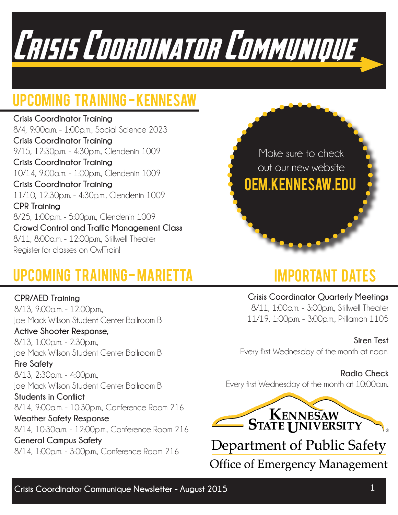

### Upcoming Training - Kennesaw

**Crisis Coordinator Training**  8/4, 9:00a.m. - 1:00p.m., Social Science 2023 **Crisis Coordinator Training** 9/15, 12:30p.m. - 4:30p.m., Clendenin 1009 **Crisis Coordinator Training** 10/14, 9:00a.m. - 1:00p.m., Clendenin 1009 **Crisis Coordinator Training** 11/10, 12:30p.m. - 4:30p.m., Clendenin 1009 **CPR Training** 8/25, 1:00p.m. - 5:00p.m., Clendenin 1009 **Crowd Control and Traffic Management Class** 8/11, 8:00a.m. - 12:00p.m., Stillwell Theater Register for classes on OwlTrain!



## Upcoming Training - Marietta

**CPR/AED Training**

8/13, 9:00a.m. - 12:00p.m.,

## Important Dates

**Crisis Coordinator Quarterly Meetings** 8/11, 1:00p.m. - 3:00p.m., Stillwell Theater 11/19, 1:00p.m. - 3:00p.m., Prillaman 1105

### **Siren Test**

Every first Wednesday of the month at noon.

#### **Radio Check**

Every first Wednesday of the month at 10:00a.m**.**



**Office of Emergency Management** 

Joe Mack Wilson Student Center Ballroom B **Active Shooter Response,** 8/13, 1:00p.m. - 2:30p.m., Joe Mack Wilson Student Center Ballroom B **Fire Safety** 8/13, 2:30p.m. - 4:00p.m., Joe Mack Wilson Student Center Ballroom B **Students in Conflict** 8/14, 9:00a.m. - 10:30p.m., Conference Room 216 **Weather Safety Response** 8/14, 10:30a.m. - 12:00p.m., Conference Room 216 **General Campus Safety** 8/14, 1:00p.m. - 3:00p.m., Conference Room 216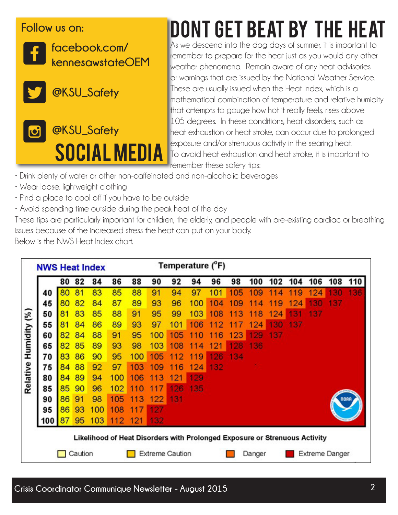### **Follow us on:**



**facebook.com/ kennesawstateOEM**



**@KSU\_Safety**



# Dont Get beat by the heat

As we descend into the dog days of summer, it is important to remember to prepare for the heat just as you would any other weather phenomena. Remain aware of any heat advisories or warnings that are issued by the National Weather Service. These are usually issued when the Heat Index, which is a mathematical combination of temperature and relative humidity that attempts to gauge how hot it really feels, rises above 105 degrees. In these conditions, heat disorders, such as heat exhaustion or heat stroke, can occur due to prolonged exposure and/or strenuous activity in the searing heat. To avoid heat exhaustion and heat stroke, it is important to remember these safety tips:

- Drink plenty of water or other non-caffeinated and non-alcoholic beverages
- Wear loose, lightweight clothing
- Find a place to cool off if you have to be outside
- Avoid spending time outside during the peak heat of the day

These tips are particularly important for children, the elderly, and people with pre-existing cardiac or breathing issues because of the increased stress the heat can put on your body.

Below is the NWS Heat Index chart.

|          | <b>NWS Heat Index</b> |    |    |     |                                                                            | Temperature (°F) |                        |     |        |     |         |           |     |     |                |     |     |
|----------|-----------------------|----|----|-----|----------------------------------------------------------------------------|------------------|------------------------|-----|--------|-----|---------|-----------|-----|-----|----------------|-----|-----|
|          |                       | 80 | 82 | 84  | 86                                                                         | 88               | 90                     | 92  | 94     | 96  | 98      | 100       | 102 | 104 | 106            | 108 | 110 |
| (%)      | 40                    | 80 | 81 | 83  | 85                                                                         | 88               | 91                     | 94  | 97     | 101 | 05<br>1 | <b>09</b> |     | 9   | 24             |     | 36  |
|          | 45                    | 80 | 82 | 84  | 87                                                                         | 89               | 93                     | 96  | 100    | 104 | 09      | 4         | 9   | 124 | 30             | 137 |     |
|          | 50                    | 81 | 83 | 85  | 88                                                                         | 91               | 95                     | 99  | 103    | 108 | 1<br>з  | 8         | 24  | з   | 37             |     |     |
|          | 55                    | 81 | 84 | 86  | 89                                                                         | 93               | 97                     | 101 | 06     | 2   | 7       | 24        | 30  | 37  |                |     |     |
| Humidity | 60                    | 82 | 84 | 88  | 91                                                                         | 95               | 100                    | 105 | 1<br>O | 6   | 23      | 129       | 137 |     |                |     |     |
|          | 65                    | 82 | 85 | 89  | 93                                                                         | 98               | 103                    | 108 | 1<br>4 | 121 | 128     | 136       |     |     |                |     |     |
| Relative | 70                    | 83 | 86 | 90  | 95                                                                         | 100              | 105                    | 2   | 9<br>1 | 126 | 134     |           |     |     |                |     |     |
|          | 75                    | 84 | 88 | 92  | 97                                                                         | 103              | 09                     | 116 | 124    | 132 |         |           |     |     |                |     |     |
|          | 80                    | 84 | 89 | 94  | 100                                                                        | 106              | 3                      | 121 | 129    |     |         |           |     |     |                |     |     |
|          | 85                    | 85 | 90 | 96  | 102                                                                        |                  |                        | 26  | 35     |     |         |           |     |     |                |     |     |
|          | 90                    | 86 | 91 | 98  | 105                                                                        | $\bullet$        | 122                    | 131 |        |     |         |           |     |     |                |     |     |
|          | 95                    | 86 | 93 | 100 | 108                                                                        |                  | 27                     |     |        |     |         |           |     |     |                |     |     |
|          | 100                   | 87 | 95 | 103 | 112                                                                        | 121              | 132                    |     |        |     |         |           |     |     |                |     |     |
|          |                       |    |    |     | Likelihood of Heat Disorders with Prolonged Exposure or Strenuous Activity |                  |                        |     |        |     |         |           |     |     |                |     |     |
|          | Caution               |    |    |     |                                                                            |                  | <b>Extreme Caution</b> |     |        |     |         | Danger    |     |     | Extreme Danger |     |     |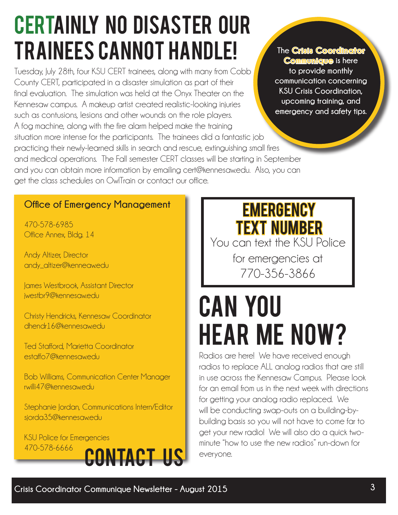## **CERTAINLY NO DISASTER OUR** Trainees Cannot Handle!

Tuesday, July 28th, four KSU CERT trainees, along with many from Cobb County CERT, participated in a disaster simulation as part of their final evaluation. The simulation was held at the Onyx Theater on the Kennesaw campus. A makeup artist created realistic-looking injuries such as contusions, lesions and other wounds on the role players. A fog machine, along with the fire alarm helped make the training situation more intense for the participants. The trainees did a fantastic job practicing their newly-learned skills in search and rescue, extinguishing small fires and medical operations. The Fall semester CERT classes will be starting in September and you can obtain more information by emailing cert@kennesaw.edu. Also, you can get the class schedules on OwlTrain or contact our office.

**The Crisis Coordinator Communique is here to provide monthly communication concerning KSU Crisis Coordination, upcoming training, and emergency and safety tips.** 

### **Office of Emergency Management**

470-578-6985 Office Annex, Bldg. 14

Andy Altizer, Director andy\_altizer@kenneaw.edu

James Westbrook, Assistant Director jwestbr9@kennesaw.edu

Christy Hendricks, Kennesaw Coordinator dhendr16@kennesaw.edu

Ted Stafford, Marietta Coordinator estaffo7@kennesaw.edu

Bob Williams, Communication Center Manager rwilli47@kennesaw.edu

Stephanie Jordan, Communications Intern/Editor sjorda35@kennesawedu



## **EMERGENCY** Text Number

You can text the KSU Police

for emergencies at 770-356-3866

# Can you hear me now?

Radios are here! We have received enough radios to replace ALL analog radios that are still in use across the Kennesaw Campus. Please look for an email from us in the next week with directions for getting your analog radio replaced. We will be conducting swap-outs on a building-bybuilding basis so you will not have to come far to get your new radio! We will also do a quick twominute "how to use the new radios" run-down for everyone.